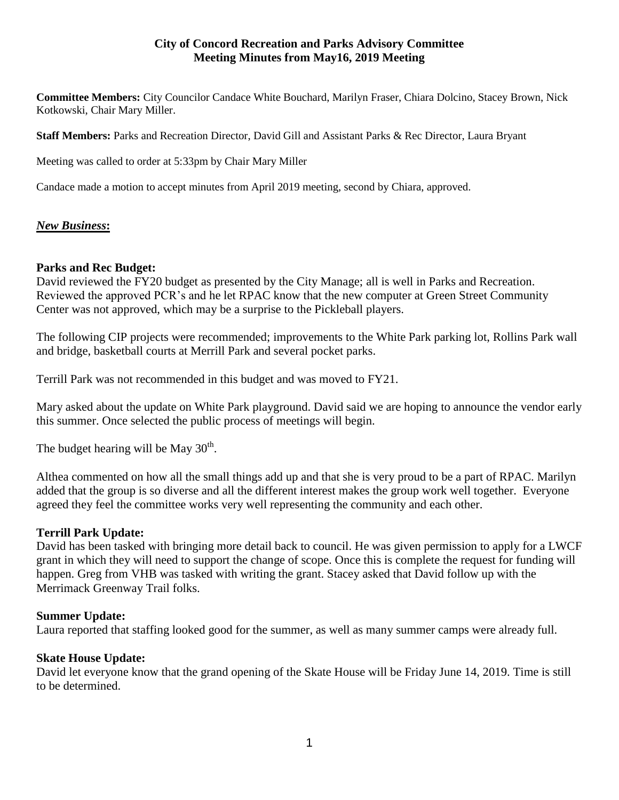## **City of Concord Recreation and Parks Advisory Committee Meeting Minutes from May16, 2019 Meeting**

**Committee Members:** City Councilor Candace White Bouchard, Marilyn Fraser, Chiara Dolcino, Stacey Brown, Nick Kotkowski, Chair Mary Miller.

**Staff Members:** Parks and Recreation Director, David Gill and Assistant Parks & Rec Director, Laura Bryant

Meeting was called to order at 5:33pm by Chair Mary Miller

Candace made a motion to accept minutes from April 2019 meeting, second by Chiara, approved.

# *New Business***:**

### **Parks and Rec Budget:**

David reviewed the FY20 budget as presented by the City Manage; all is well in Parks and Recreation. Reviewed the approved PCR's and he let RPAC know that the new computer at Green Street Community Center was not approved, which may be a surprise to the Pickleball players.

The following CIP projects were recommended; improvements to the White Park parking lot, Rollins Park wall and bridge, basketball courts at Merrill Park and several pocket parks.

Terrill Park was not recommended in this budget and was moved to FY21.

Mary asked about the update on White Park playground. David said we are hoping to announce the vendor early this summer. Once selected the public process of meetings will begin.

The budget hearing will be May  $30<sup>th</sup>$ .

Althea commented on how all the small things add up and that she is very proud to be a part of RPAC. Marilyn added that the group is so diverse and all the different interest makes the group work well together. Everyone agreed they feel the committee works very well representing the community and each other.

### **Terrill Park Update:**

David has been tasked with bringing more detail back to council. He was given permission to apply for a LWCF grant in which they will need to support the change of scope. Once this is complete the request for funding will happen. Greg from VHB was tasked with writing the grant. Stacey asked that David follow up with the Merrimack Greenway Trail folks.

### **Summer Update:**

Laura reported that staffing looked good for the summer, as well as many summer camps were already full.

### **Skate House Update:**

David let everyone know that the grand opening of the Skate House will be Friday June 14, 2019. Time is still to be determined.